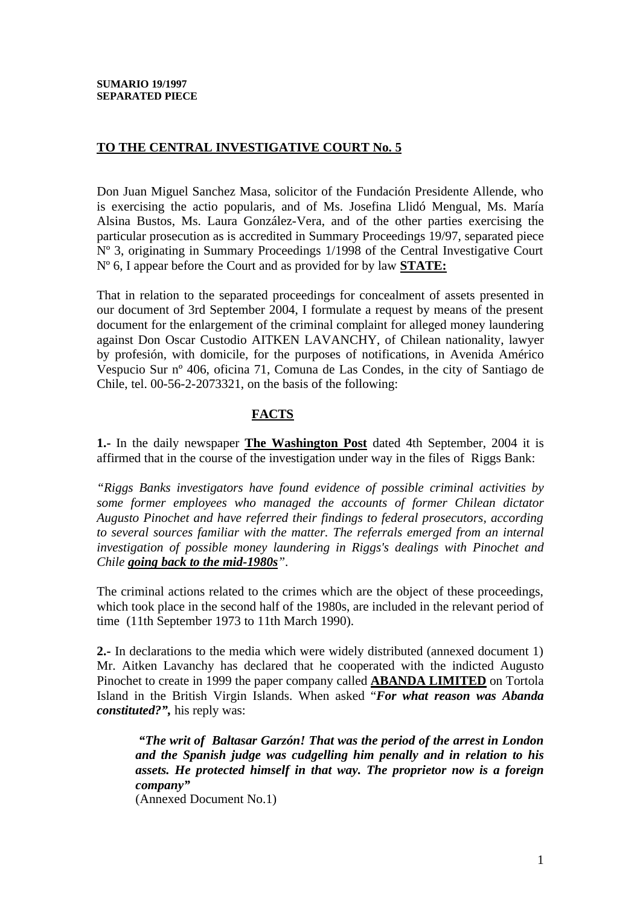# **TO THE CENTRAL INVESTIGATIVE COURT No. 5**

Don Juan Miguel Sanchez Masa, solicitor of the Fundación Presidente Allende, who is exercising the actio popularis, and of Ms. Josefina Llidó Mengual, Ms. María Alsina Bustos, Ms. Laura González-Vera, and of the other parties exercising the particular prosecution as is accredited in Summary Proceedings 19/97, separated piece Nº 3, originating in Summary Proceedings 1/1998 of the Central Investigative Court Nº 6, I appear before the Court and as provided for by law **STATE:**

That in relation to the separated proceedings for concealment of assets presented in our document of 3rd September 2004, I formulate a request by means of the present document for the enlargement of the criminal complaint for alleged money laundering against Don Oscar Custodio AITKEN LAVANCHY, of Chilean nationality, lawyer by profesión, with domicile, for the purposes of notifications, in Avenida Américo Vespucio Sur nº 406, oficina 71, Comuna de Las Condes, in the city of Santiago de Chile, tel. 00-56-2-2073321, on the basis of the following:

# **FACTS**

**1.-** In the daily newspaper **The Washington Post** dated 4th September, 2004 it is affirmed that in the course of the investigation under way in the files of Riggs Bank:

*"Riggs Banks investigators have found evidence of possible criminal activities by some former employees who managed the accounts of former Chilean dictator Augusto Pinochet and have referred their findings to federal prosecutors, according to several sources familiar with the matter. The referrals emerged from an internal investigation of possible money laundering in Riggs's dealings with Pinochet and Chile going back to the mid-1980s".*

The criminal actions related to the crimes which are the object of these proceedings, which took place in the second half of the 1980s, are included in the relevant period of time (11th September 1973 to 11th March 1990).

**2.-** In declarations to the media which were widely distributed (annexed document 1) Mr. Aitken Lavanchy has declared that he cooperated with the indicted Augusto Pinochet to create in 1999 the paper company called **ABANDA LIMITED** on Tortola Island in the British Virgin Islands. When asked "*For what reason was Abanda constituted?",* his reply was:

*"The writ of Baltasar Garzón! That was the period of the arrest in London and the Spanish judge was cudgelling him penally and in relation to his assets. He protected himself in that way. The proprietor now is a foreign company"* 

(Annexed Document No.1)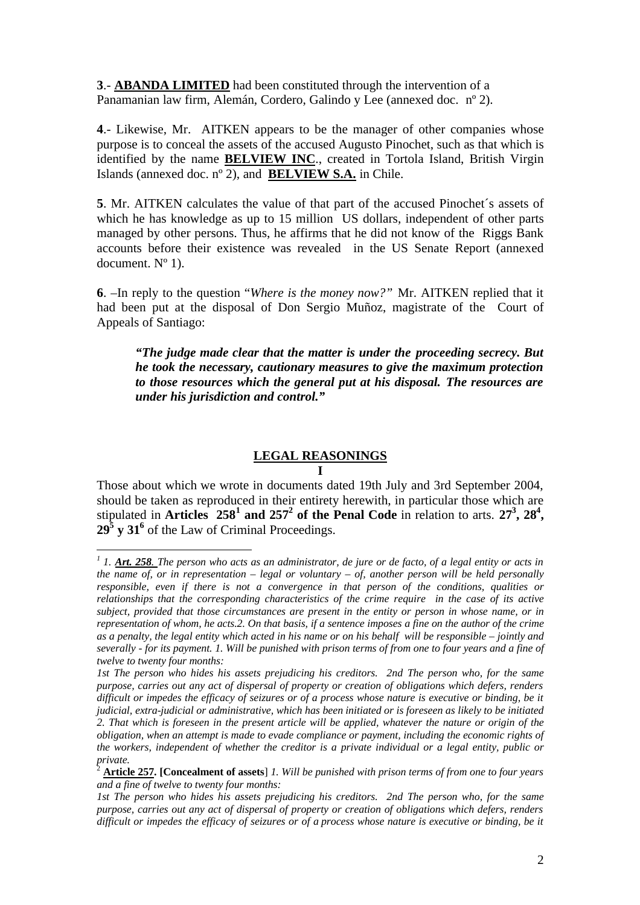**3**.- **ABANDA LIMITED** had been constituted through the intervention of a Panamanian law firm, Alemán, Cordero, Galindo y Lee (annexed doc. nº 2).

**4**.- Likewise, Mr. AITKEN appears to be the manager of other companies whose purpose is to conceal the assets of the accused Augusto Pinochet, such as that which is identified by the name **BELVIEW INC**., created in Tortola Island, British Virgin Islands (annexed doc. nº 2), and **BELVIEW S.A.** in Chile.

**5**. Mr. AITKEN calculates the value of that part of the accused Pinochet´s assets of which he has knowledge as up to 15 million US dollars, independent of other parts managed by other persons. Thus, he affirms that he did not know of the Riggs Bank accounts before their existence was revealed in the US Senate Report (annexed document.  $N^{\circ}$  1).

**6**. –In reply to the question "*Where is the money now?"* Mr. AITKEN replied that it had been put at the disposal of Don Sergio Muñoz, magistrate of the Court of Appeals of Santiago:

*"The judge made clear that the matter is under the proceeding secrecy. But he took the necessary, cautionary measures to give the maximum protection to those resources which the general put at his disposal. The resources are under his jurisdiction and control."*

#### **LEGAL REASONINGS**

#### **I**

Those about which we wrote in documents dated 19th July and 3rd September 2004, should be taken as reproduced in their entirety herewith, in particular those which are stipulated in **Articles**  $258^1$  and  $257^2$  of the Penal Code in relation to arts.  $27^3$ ,  $28^4$ , **29<sup>5</sup> y 31<sup>6</sup>** of the Law of Criminal Proceedings.

 $\overline{a}$ 

<sup>&</sup>lt;sup>1</sup> 1. *Art. 258*. The person who acts as an administrator, de jure or de facto, of a legal entity or acts in *the name of, or in representation – legal or voluntary – of, another person will be held personally responsible, even if there is not a convergence in that person of the conditions, qualities or relationships that the corresponding characteristics of the crime require in the case of its active subject, provided that those circumstances are present in the entity or person in whose name, or in representation of whom, he acts.2. On that basis, if a sentence imposes a fine on the author of the crime as a penalty, the legal entity which acted in his name or on his behalf will be responsible – jointly and severally - for its payment. 1. Will be punished with prison terms of from one to four years and a fine of twelve to twenty four months:* 

*<sup>1</sup>st The person who hides his assets prejudicing his creditors. 2nd The person who, for the same purpose, carries out any act of dispersal of property or creation of obligations which defers, renders difficult or impedes the efficacy of seizures or of a process whose nature is executive or binding, be it judicial, extra-judicial or administrative, which has been initiated or is foreseen as likely to be initiated 2. That which is foreseen in the present article will be applied, whatever the nature or origin of the obligation, when an attempt is made to evade compliance or payment, including the economic rights of the workers, independent of whether the creditor is a private individual or a legal entity, public or private.*

<sup>2</sup> **Article 257. [Concealment of assets**] *1. Will be punished with prison terms of from one to four years and a fine of twelve to twenty four months:* 

*<sup>1</sup>st The person who hides his assets prejudicing his creditors. 2nd The person who, for the same purpose, carries out any act of dispersal of property or creation of obligations which defers, renders difficult or impedes the efficacy of seizures or of a process whose nature is executive or binding, be it*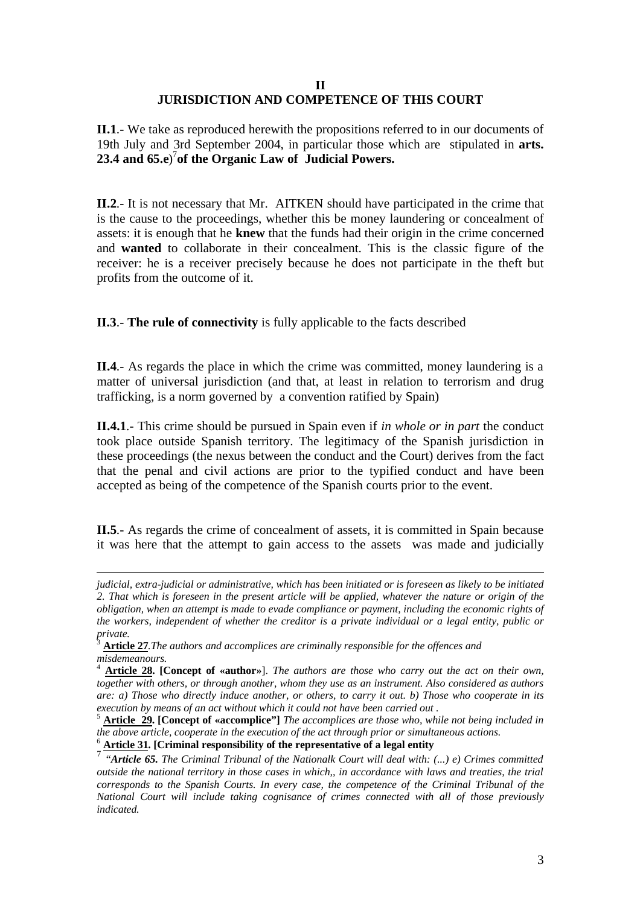#### **II JURISDICTION AND COMPETENCE OF THIS COURT**

**II.1**.- We take as reproduced herewith the propositions referred to in our documents of 19th July and 3rd September 2004, in particular those which are stipulated in **arts. 23.4 and 65.e**) 7 **of the Organic Law of Judicial Powers.**

**II.2**.- It is not necessary that Mr. AITKEN should have participated in the crime that is the cause to the proceedings, whether this be money laundering or concealment of assets: it is enough that he **knew** that the funds had their origin in the crime concerned and **wanted** to collaborate in their concealment. This is the classic figure of the receiver: he is a receiver precisely because he does not participate in the theft but profits from the outcome of it.

**II.3**.- **The rule of connectivity** is fully applicable to the facts described

**II.4**.- As regards the place in which the crime was committed, money laundering is a matter of universal jurisdiction (and that, at least in relation to terrorism and drug trafficking, is a norm governed by a convention ratified by Spain)

**II.4.1**.- This crime should be pursued in Spain even if *in whole or in part* the conduct took place outside Spanish territory. The legitimacy of the Spanish jurisdiction in these proceedings (the nexus between the conduct and the Court) derives from the fact that the penal and civil actions are prior to the typified conduct and have been accepted as being of the competence of the Spanish courts prior to the event.

**II.5**.- As regards the crime of concealment of assets, it is committed in Spain because it was here that the attempt to gain access to the assets was made and judicially

<sup>6</sup> **Article 31. [Criminal responsibility of the representative of a legal entity**

 $\overline{a}$ *judicial, extra-judicial or administrative, which has been initiated or is foreseen as likely to be initiated 2. That which is foreseen in the present article will be applied, whatever the nature or origin of the obligation, when an attempt is made to evade compliance or payment, including the economic rights of the workers, independent of whether the creditor is a private individual or a legal entity, public or private.*

<sup>3</sup> **Article 27***.The authors and accomplices are criminally responsible for the offences and misdemeanours.*

<sup>4</sup> **Article 28. [Concept of «author»**]. *The authors are those who carry out the act on their own, together with others, or through another, whom they use as an instrument. Also considered as authors are: a) Those who directly induce another, or others, to carry it out. b) Those who cooperate in its execution by means of an act without which it could not have been carried out .*

<sup>5</sup> **Article 29. [Concept of «accomplice"]** *The accomplices are those who, while not being included in the above article, cooperate in the execution of the act through prior or simultaneous actions.*

<sup>7</sup> *"Article 65. The Criminal Tribunal of the Nationalk Court will deal with: (...) e) Crimes committed outside the national territory in those cases in which,, in accordance with laws and treaties, the trial corresponds to the Spanish Courts. In every case, the competence of the Criminal Tribunal of the National Court will include taking cognisance of crimes connected with all of those previously indicated.*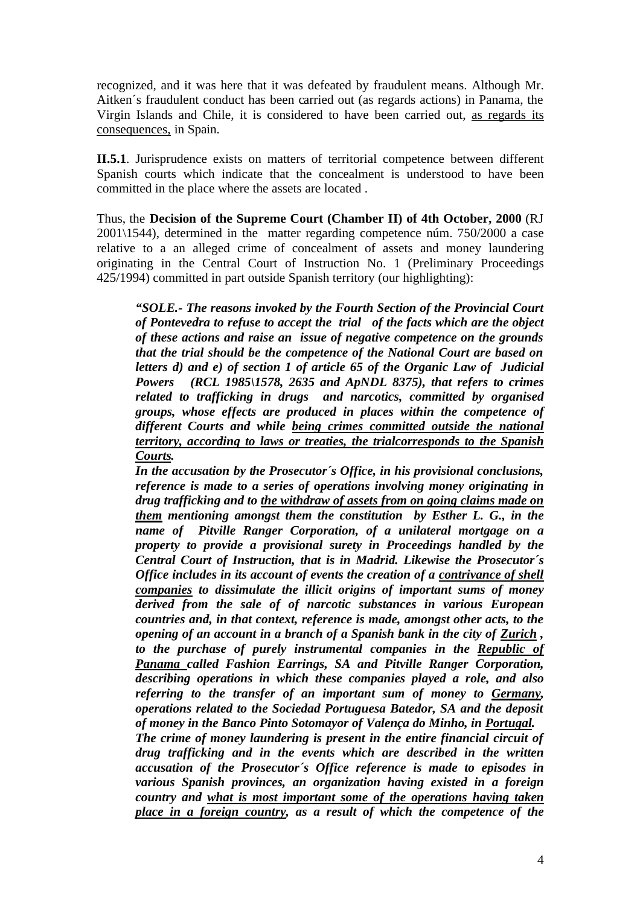recognized, and it was here that it was defeated by fraudulent means. Although Mr. Aitken´s fraudulent conduct has been carried out (as regards actions) in Panama, the Virgin Islands and Chile, it is considered to have been carried out, as regards its consequences, in Spain.

**II.5.1**. Jurisprudence exists on matters of territorial competence between different Spanish courts which indicate that the concealment is understood to have been committed in the place where the assets are located .

Thus, the **Decision of the Supreme Court (Chamber II) of 4th October, 2000** (RJ 2001\1544), determined in the matter regarding competence núm. 750/2000 a case relative to a an alleged crime of concealment of assets and money laundering originating in the Central Court of Instruction No. 1 (Preliminary Proceedings 425/1994) committed in part outside Spanish territory (our highlighting):

*"SOLE.- The reasons invoked by the Fourth Section of the Provincial Court of Pontevedra to refuse to accept the trial of the facts which are the object of these actions and raise an issue of negative competence on the grounds that the trial should be the competence of the National Court are based on letters d) and e) of section 1 of article 65 of the Organic Law of Judicial Powers (RCL 1985\1578, 2635 and ApNDL 8375), that refers to crimes related to trafficking in drugs and narcotics, committed by organised groups, whose effects are produced in places within the competence of different Courts and while being crimes committed outside the national territory, according to laws or treaties, the trialcorresponds to the Spanish Courts.*

*In the accusation by the Prosecutor´s Office, in his provisional conclusions, reference is made to a series of operations involving money originating in drug trafficking and to the withdraw of assets from on going claims made on them mentioning amongst them the constitution by Esther L. G., in the name of Pitville Ranger Corporation, of a unilateral mortgage on a property to provide a provisional surety in Proceedings handled by the Central Court of Instruction, that is in Madrid. Likewise the Prosecutor´s Office includes in its account of events the creation of a contrivance of shell companies to dissimulate the illicit origins of important sums of money derived from the sale of of narcotic substances in various European countries and, in that context, reference is made, amongst other acts, to the opening of an account in a branch of a Spanish bank in the city of Zurich , to the purchase of purely instrumental companies in the Republic of Panama called Fashion Earrings, SA and Pitville Ranger Corporation, describing operations in which these companies played a role, and also referring to the transfer of an important sum of money to Germany, operations related to the Sociedad Portuguesa Batedor, SA and the deposit of money in the Banco Pinto Sotomayor of Valença do Minho, in Portugal. The crime of money laundering is present in the entire financial circuit of* 

*drug trafficking and in the events which are described in the written accusation of the Prosecutor´s Office reference is made to episodes in various Spanish provinces, an organization having existed in a foreign country and what is most important some of the operations having taken place in a foreign country, as a result of which the competence of the*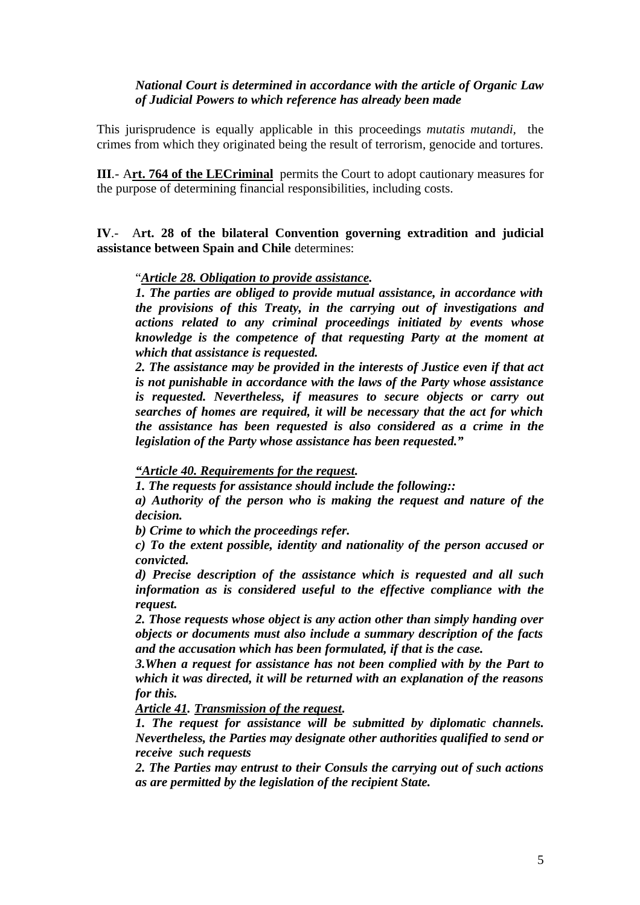# *National Court is determined in accordance with the article of Organic Law of Judicial Powers to which reference has already been made*

This jurisprudence is equally applicable in this proceedings *mutatis mutandi,* the crimes from which they originated being the result of terrorism, genocide and tortures.

**III**.- A**rt. 764 of the LECriminal** permits the Court to adopt cautionary measures for the purpose of determining financial responsibilities, including costs.

**IV**.- A**rt. 28 of the bilateral Convention governing extradition and judicial assistance between Spain and Chile** determines:

## "*Article 28. Obligation to provide assistance.*

*1. The parties are obliged to provide mutual assistance, in accordance with the provisions of this Treaty, in the carrying out of investigations and actions related to any criminal proceedings initiated by events whose knowledge is the competence of that requesting Party at the moment at which that assistance is requested.*

*2. The assistance may be provided in the interests of Justice even if that act is not punishable in accordance with the laws of the Party whose assistance is requested. Nevertheless, if measures to secure objects or carry out searches of homes are required, it will be necessary that the act for which the assistance has been requested is also considered as a crime in the legislation of the Party whose assistance has been requested."*

*"Article 40. Requirements for the request.*

*1. The requests for assistance should include the following::*

*a) Authority of the person who is making the request and nature of the decision.*

*b) Crime to which the proceedings refer.*

*c) To the extent possible, identity and nationality of the person accused or convicted.*

*d) Precise description of the assistance which is requested and all such information as is considered useful to the effective compliance with the request.*

*2. Those requests whose object is any action other than simply handing over objects or documents must also include a summary description of the facts and the accusation which has been formulated, if that is the case.* 

*3.When a request for assistance has not been complied with by the Part to which it was directed, it will be returned with an explanation of the reasons for this.* 

*Article 41. Transmission of the request.*

*1. The request for assistance will be submitted by diplomatic channels. Nevertheless, the Parties may designate other authorities qualified to send or receive such requests*

*2. The Parties may entrust to their Consuls the carrying out of such actions as are permitted by the legislation of the recipient State.*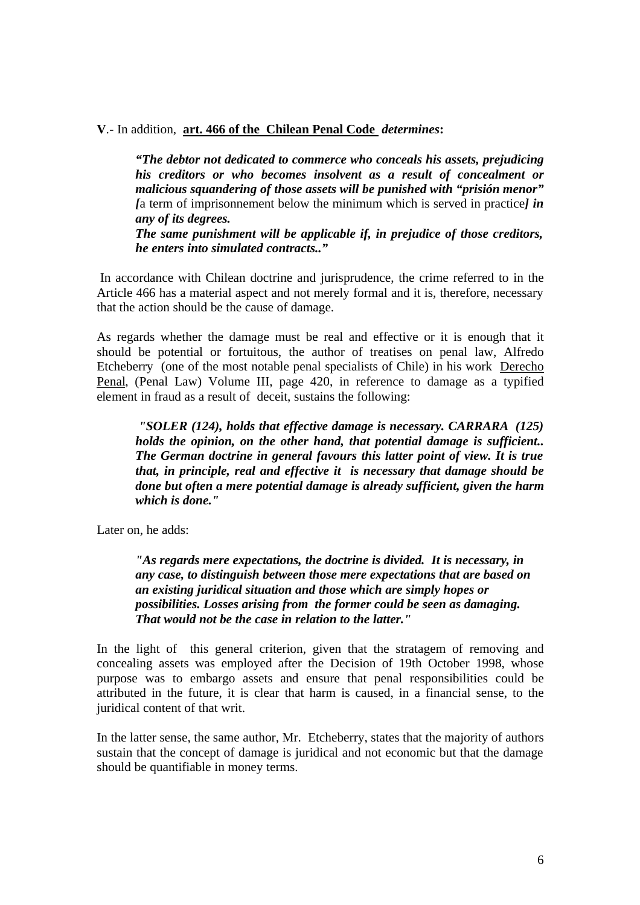**V**.- In addition, **art. 466 of the Chilean Penal Code** *determines***:**

*"The debtor not dedicated to commerce who conceals his assets, prejudicing his creditors or who becomes insolvent as a result of concealment or malicious squandering of those assets will be punished with "prisión menor" [*a term of imprisonnement below the minimum which is served in practice*] in any of its degrees.*

*The same punishment will be applicable if, in prejudice of those creditors, he enters into simulated contracts.."*

In accordance with Chilean doctrine and jurisprudence, the crime referred to in the Article 466 has a material aspect and not merely formal and it is, therefore, necessary that the action should be the cause of damage.

As regards whether the damage must be real and effective or it is enough that it should be potential or fortuitous, the author of treatises on penal law, Alfredo Etcheberry (one of the most notable penal specialists of Chile) in his work Derecho Penal, (Penal Law) Volume III, page 420, in reference to damage as a typified element in fraud as a result of deceit, sustains the following:

*"SOLER (124), holds that effective damage is necessary. CARRARA (125) holds the opinion, on the other hand, that potential damage is sufficient.. The German doctrine in general favours this latter point of view. It is true that, in principle, real and effective it is necessary that damage should be done but often a mere potential damage is already sufficient, given the harm which is done."* 

Later on, he adds:

*"As regards mere expectations, the doctrine is divided. It is necessary, in any case, to distinguish between those mere expectations that are based on an existing juridical situation and those which are simply hopes or possibilities. Losses arising from the former could be seen as damaging. That would not be the case in relation to the latter."*

In the light of this general criterion, given that the stratagem of removing and concealing assets was employed after the Decision of 19th October 1998, whose purpose was to embargo assets and ensure that penal responsibilities could be attributed in the future, it is clear that harm is caused, in a financial sense, to the juridical content of that writ.

In the latter sense, the same author, Mr. Etcheberry, states that the majority of authors sustain that the concept of damage is juridical and not economic but that the damage should be quantifiable in money terms.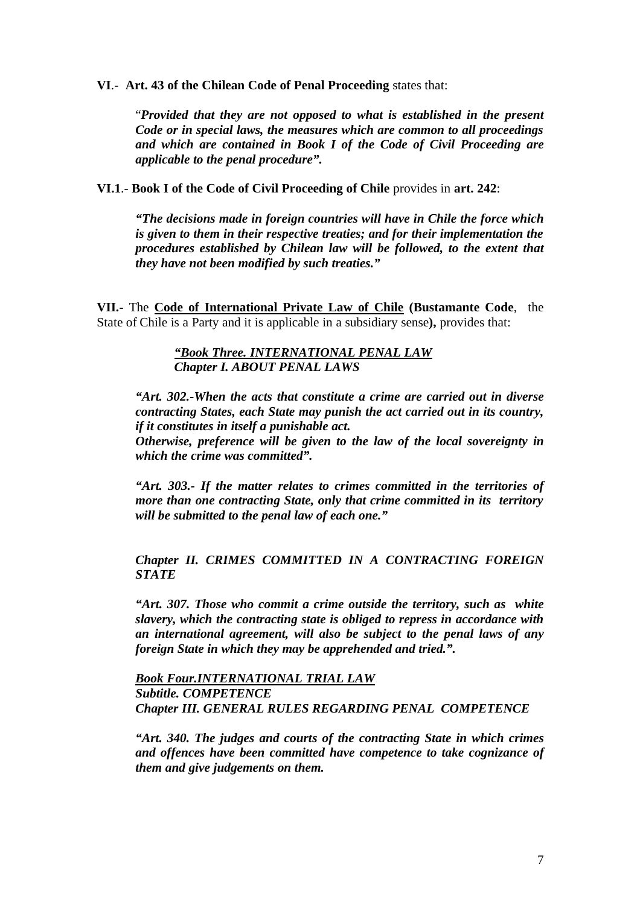**VI**.- **Art. 43 of the Chilean Code of Penal Proceeding** states that:

"*Provided that they are not opposed to what is established in the present Code or in special laws, the measures which are common to all proceedings and which are contained in Book I of the Code of Civil Proceeding are applicable to the penal procedure".*

**VI.1**.- **Book I of the Code of Civil Proceeding of Chile** provides in **art. 242**:

*"The decisions made in foreign countries will have in Chile the force which is given to them in their respective treaties; and for their implementation the procedures established by Chilean law will be followed, to the extent that they have not been modified by such treaties."*

**VII.-** The **Code of International Private Law of Chile (Bustamante Code**, the State of Chile is a Party and it is applicable in a subsidiary sense**),** provides that:

> *"Book Three. INTERNATIONAL PENAL LAW Chapter I. ABOUT PENAL LAWS*

*"Art. 302.-When the acts that constitute a crime are carried out in diverse contracting States, each State may punish the act carried out in its country, if it constitutes in itself a punishable act.*

*Otherwise, preference will be given to the law of the local sovereignty in which the crime was committed".*

*"Art. 303.- If the matter relates to crimes committed in the territories of more than one contracting State, only that crime committed in its territory will be submitted to the penal law of each one."*

## *Chapter II. CRIMES COMMITTED IN A CONTRACTING FOREIGN STATE*

*"Art. 307. Those who commit a crime outside the territory, such as white slavery, which the contracting state is obliged to repress in accordance with an international agreement, will also be subject to the penal laws of any foreign State in which they may be apprehended and tried.".*

*Book Four.INTERNATIONAL TRIAL LAW Subtitle. COMPETENCE Chapter III. GENERAL RULES REGARDING PENAL COMPETENCE* 

*"Art. 340. The judges and courts of the contracting State in which crimes and offences have been committed have competence to take cognizance of them and give judgements on them.*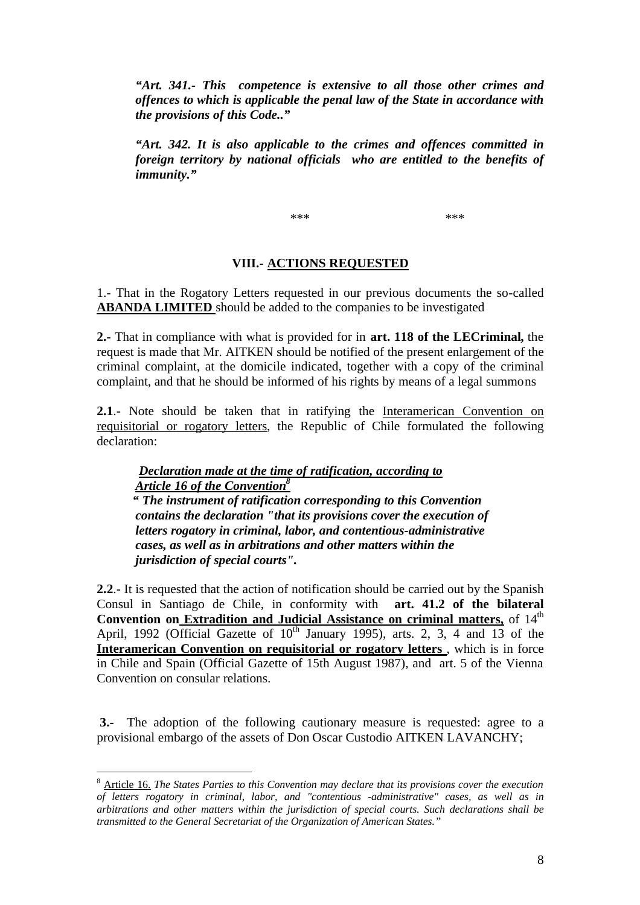*"Art. 341.- This competence is extensive to all those other crimes and offences to which is applicable the penal law of the State in accordance with the provisions of this Code.."*

*"Art. 342. It is also applicable to the crimes and offences committed in foreign territory by national officials who are entitled to the benefits of immunity."*

\*\*\* \*\*\* \*\*\* \*\*\*

#### **VIII.- ACTIONS REQUESTED**

1.- That in the Rogatory Letters requested in our previous documents the so-called **ABANDA LIMITED** should be added to the companies to be investigated

**2.-** That in compliance with what is provided for in **art. 118 of the LECriminal,** the request is made that Mr. AITKEN should be notified of the present enlargement of the criminal complaint, at the domicile indicated, together with a copy of the criminal complaint, and that he should be informed of his rights by means of a legal summons

**2.1**.- Note should be taken that in ratifying the Interamerican Convention on requisitorial or rogatory letters, the Republic of Chile formulated the following declaration:

# *Declaration made at the time of ratification, according to Article 16 of the Convention<sup>8</sup>*

 *" The instrument of ratification corresponding to this Convention contains the declaration "that its provisions cover the execution of letters rogatory in criminal, labor, and contentious-administrative cases, as well as in arbitrations and other matters within the jurisdiction of special courts".* 

**2.2**.- It is requested that the action of notification should be carried out by the Spanish Consul in Santiago de Chile, in conformity with **art. 41.2 of the bilateral Convention on Extradition and Judicial Assistance on criminal matters,** of 14<sup>th</sup> April, 1992 (Official Gazette of  $10^{th}$  January 1995), arts. 2, 3, 4 and 13 of the **Interamerican Convention on requisitorial or rogatory letters** , which is in force in Chile and Spain (Official Gazette of 15th August 1987), and art. 5 of the Vienna Convention on consular relations.

**3.-** The adoption of the following cautionary measure is requested: agree to a provisional embargo of the assets of Don Oscar Custodio AITKEN LAVANCHY;

 $\overline{a}$ 

<sup>8</sup> Article 16. *The States Parties to this Convention may declare that its provisions cover the execution of letters rogatory in criminal, labor, and "contentious -administrative" cases, as well as in arbitrations and other matters within the jurisdiction of special courts. Such declarations shall be transmitted to the General Secretariat of the Organization of American States."*